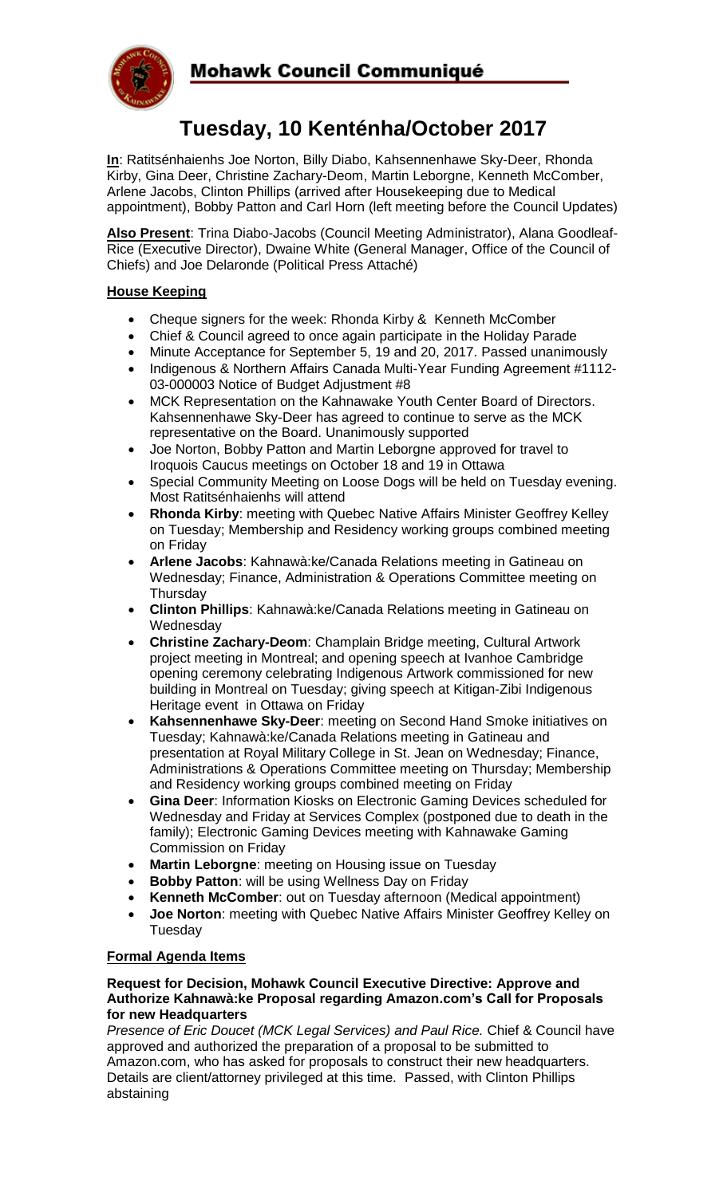

# **Tuesday, 10 Kenténha/October 2017**

**In**: Ratitsénhaienhs Joe Norton, Billy Diabo, Kahsennenhawe Sky-Deer, Rhonda Kirby, Gina Deer, Christine Zachary-Deom, Martin Leborgne, Kenneth McComber, Arlene Jacobs, Clinton Phillips (arrived after Housekeeping due to Medical appointment), Bobby Patton and Carl Horn (left meeting before the Council Updates)

**Also Present**: Trina Diabo-Jacobs (Council Meeting Administrator), Alana Goodleaf-Rice (Executive Director), Dwaine White (General Manager, Office of the Council of Chiefs) and Joe Delaronde (Political Press Attaché)

## **House Keeping**

- Cheque signers for the week: Rhonda Kirby & Kenneth McComber
- Chief & Council agreed to once again participate in the Holiday Parade
- Minute Acceptance for September 5, 19 and 20, 2017. Passed unanimously
- Indigenous & Northern Affairs Canada Multi-Year Funding Agreement #1112-03-000003 Notice of Budget Adjustment #8
- MCK Representation on the Kahnawake Youth Center Board of Directors. Kahsennenhawe Sky-Deer has agreed to continue to serve as the MCK representative on the Board. Unanimously supported
- Joe Norton, Bobby Patton and Martin Leborgne approved for travel to Iroquois Caucus meetings on October 18 and 19 in Ottawa
- Special Community Meeting on Loose Dogs will be held on Tuesday evening. Most Ratitsénhaienhs will attend
- **Rhonda Kirby**: meeting with Quebec Native Affairs Minister Geoffrey Kelley on Tuesday; Membership and Residency working groups combined meeting on Friday
- **Arlene Jacobs**: Kahnawà:ke/Canada Relations meeting in Gatineau on Wednesday; Finance, Administration & Operations Committee meeting on **Thursday**
- **Clinton Phillips**: Kahnawà:ke/Canada Relations meeting in Gatineau on **Wednesday**
- **Christine Zachary-Deom**: Champlain Bridge meeting, Cultural Artwork project meeting in Montreal; and opening speech at Ivanhoe Cambridge opening ceremony celebrating Indigenous Artwork commissioned for new building in Montreal on Tuesday; giving speech at Kitigan-Zibi Indigenous Heritage event in Ottawa on Friday
- **Kahsennenhawe Sky-Deer**: meeting on Second Hand Smoke initiatives on Tuesday; Kahnawà:ke/Canada Relations meeting in Gatineau and presentation at Royal Military College in St. Jean on Wednesday; Finance, Administrations & Operations Committee meeting on Thursday; Membership and Residency working groups combined meeting on Friday
- **Gina Deer**: Information Kiosks on Electronic Gaming Devices scheduled for Wednesday and Friday at Services Complex (postponed due to death in the family); Electronic Gaming Devices meeting with Kahnawake Gaming Commission on Friday
- **Martin Leborgne**: meeting on Housing issue on Tuesday
- **Bobby Patton**: will be using Wellness Day on Friday
- **Kenneth McComber**: out on Tuesday afternoon (Medical appointment)
- **Joe Norton**: meeting with Quebec Native Affairs Minister Geoffrey Kelley on Tuesday

## **Formal Agenda Items**

#### **Request for Decision, Mohawk Council Executive Directive: Approve and Authorize Kahnawà:ke Proposal regarding Amazon.com's Call for Proposals for new Headquarters**

*Presence of Eric Doucet (MCK Legal Services) and Paul Rice.* Chief & Council have approved and authorized the preparation of a proposal to be submitted to Amazon.com, who has asked for proposals to construct their new headquarters. Details are client/attorney privileged at this time. Passed, with Clinton Phillips abstaining